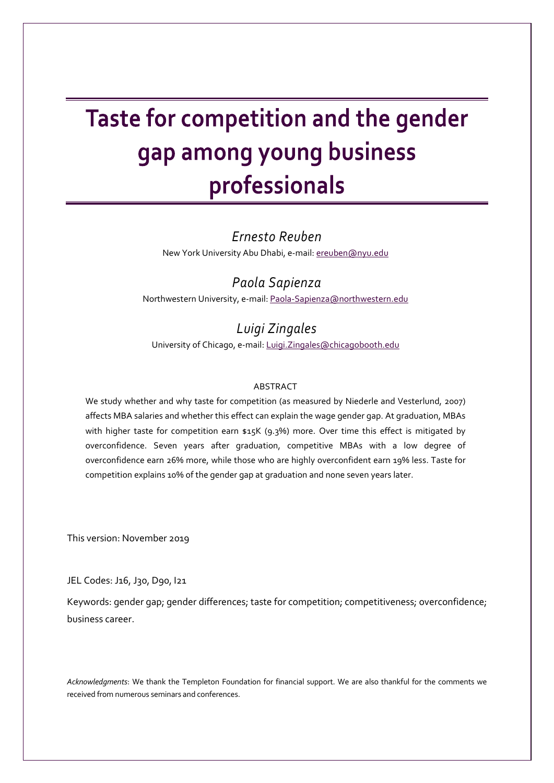# Taste for competition and the gender gap among young business professionals

## *Ernesto Reuben*

New York University Abu Dhabi, e-mail: [ereuben@nyu.edu](mailto:ereuben@nyu.edu)

# *Paola Sapienza* Northwestern University, e-mail[: Paola-Sapienza@northwestern.edu](mailto:Paola-Sapienza@northwestern.edu)

# *Luigi Zingales*

University of Chicago, e-mail[: Luigi.Zingales@chicagobooth.edu](mailto:Luigi.Zingales@chicagobooth.edu)

### ABSTRACT

We study whether and why taste for competition (as measured by Niederle and Vesterlund, 2007) affects MBA salaries and whether this effect can explain the wage gender gap. At graduation, MBAs with higher taste for competition earn \$15K (9.3%) more. Over time this effect is mitigated by overconfidence. Seven years after graduation, competitive MBAs with a low degree of overconfidence earn 26% more, while those who are highly overconfident earn 19% less. Taste for competition explains 10% of the gender gap at graduation and none seven years later.

This version: November 2019

JEL Codes: J16, J30, D90, I21

Keywords: gender gap; gender differences; taste for competition; competitiveness; overconfidence; business career.

*Acknowledgments*: We thank the Templeton Foundation for financial support. We are also thankful for the comments we received from numerous seminars and conferences.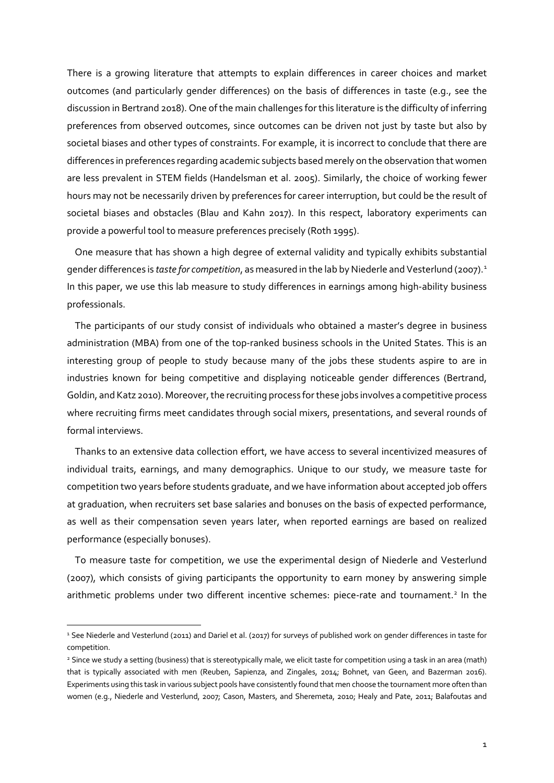There is a growing literature that attempts to explain differences in career choices and market outcomes (and particularly gender differences) on the basis of differences in taste (e.g., see the discussion in Bertrand 2018). One of the main challenges for this literature is the difficulty of inferring preferences from observed outcomes, since outcomes can be driven not just by taste but also by societal biases and other types of constraints. For example, it is incorrect to conclude that there are differences in preferences regarding academic subjects based merely on the observation that women are less prevalent in STEM fields (Handelsman et al. 2005). Similarly, the choice of working fewer hours may not be necessarily driven by preferences for career interruption, but could be the result of societal biases and obstacles (Blau and Kahn 2017). In this respect, laboratory experiments can provide a powerful tool to measure preferences precisely (Roth 1995).

One measure that has shown a high degree of external validity and typically exhibits substantial gender differences is *taste for competition*, as measured in the lab by Niederle and Vesterlund (2007). [1](#page-21-0) In this paper, we use this lab measure to study differences in earnings among high-ability business professionals.

The participants of our study consist of individuals who obtained a master's degree in business administration (MBA) from one of the top-ranked business schools in the United States. This is an interesting group of people to study because many of the jobs these students aspire to are in industries known for being competitive and displaying noticeable gender differences (Bertrand, Goldin, and Katz 2010). Moreover, the recruiting process for these jobs involves a competitive process where recruiting firms meet candidates through social mixers, presentations, and several rounds of formal interviews.

Thanks to an extensive data collection effort, we have access to several incentivized measures of individual traits, earnings, and many demographics. Unique to our study, we measure taste for competition two years before students graduate, and we have information about accepted job offers at graduation, when recruiters set base salaries and bonuses on the basis of expected performance, as well as their compensation seven years later, when reported earnings are based on realized performance (especially bonuses).

To measure taste for competition, we use the experimental design of Niederle and Vesterlund (2007), which consists of giving participants the opportunity to earn money by answering simple arithmetic problems under two different incentive schemes: piece-rate and tournament.<sup>[2](#page-1-0)</sup> In the

<sup>&</sup>lt;sup>1</sup> See Niederle and Vesterlund (2011) and Dariel et al. (2017) for surveys of published work on gender differences in taste for competition.

<span id="page-1-0"></span><sup>&</sup>lt;sup>2</sup> Since we study a setting (business) that is stereotypically male, we elicit taste for competition using a task in an area (math) that is typically associated with men (Reuben, Sapienza, and Zingales, 2014; Bohnet, van Geen, and Bazerman 2016). Experiments using this task in various subject pools have consistently found that men choose the tournament more often than women (e.g., Niederle and Vesterlund, 2007; Cason, Masters, and Sheremeta, 2010; Healy and Pate, 2011; Balafoutas and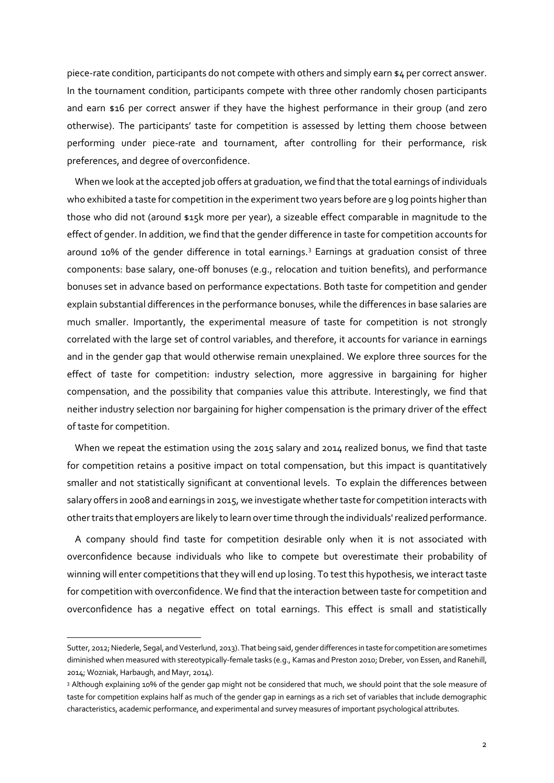piece-rate condition, participants do not compete with others and simply earn \$4 per correct answer. In the tournament condition, participants compete with three other randomly chosen participants and earn \$16 per correct answer if they have the highest performance in their group (and zero otherwise). The participants' taste for competition is assessed by letting them choose between performing under piece-rate and tournament, after controlling for their performance, risk preferences, and degree of overconfidence.

When we look at the accepted job offers at graduation, we find that the total earnings of individuals who exhibited a taste for competition in the experiment two years before are 9 log points higher than those who did not (around \$15k more per year), a sizeable effect comparable in magnitude to the effect of gender. In addition, we find that the gender difference in taste for competition accounts for around 10% of the gender difference in total earnings.<sup>[3](#page-2-0)</sup> Earnings at graduation consist of three components: base salary, one-off bonuses (e.g., relocation and tuition benefits), and performance bonuses set in advance based on performance expectations. Both taste for competition and gender explain substantial differences in the performance bonuses, while the differences in base salaries are much smaller. Importantly, the experimental measure of taste for competition is not strongly correlated with the large set of control variables, and therefore, it accounts for variance in earnings and in the gender gap that would otherwise remain unexplained. We explore three sources for the effect of taste for competition: industry selection, more aggressive in bargaining for higher compensation, and the possibility that companies value this attribute. Interestingly, we find that neither industry selection nor bargaining for higher compensation is the primary driver of the effect of taste for competition.

When we repeat the estimation using the 2015 salary and 2014 realized bonus, we find that taste for competition retains a positive impact on total compensation, but this impact is quantitatively smaller and not statistically significant at conventional levels. To explain the differences between salary offers in 2008 and earnings in 2015, we investigate whether taste for competition interacts with other traits that employers are likely to learn over time through the individuals' realized performance.

A company should find taste for competition desirable only when it is not associated with overconfidence because individuals who like to compete but overestimate their probability of winning will enter competitions that they will end up losing. To test this hypothesis, we interact taste for competition with overconfidence. We find that the interaction between taste for competition and overconfidence has a negative effect on total earnings. This effect is small and statistically

Sutter, 2012; Niederle, Segal, and Vesterlund, 2013). That being said, gender differences in taste for competition are sometimes diminished when measured with stereotypically-female tasks (e.g., Kamas and Preston 2010; Dreber, von Essen, and Ranehill, 2014; Wozniak, Harbaugh, and Mayr, 2014).

<span id="page-2-0"></span><sup>3</sup> Although explaining 10% of the gender gap might not be considered that much, we should point that the sole measure of taste for competition explains half as much of the gender gap in earnings as a rich set of variables that include demographic characteristics, academic performance, and experimental and survey measures of important psychological attributes.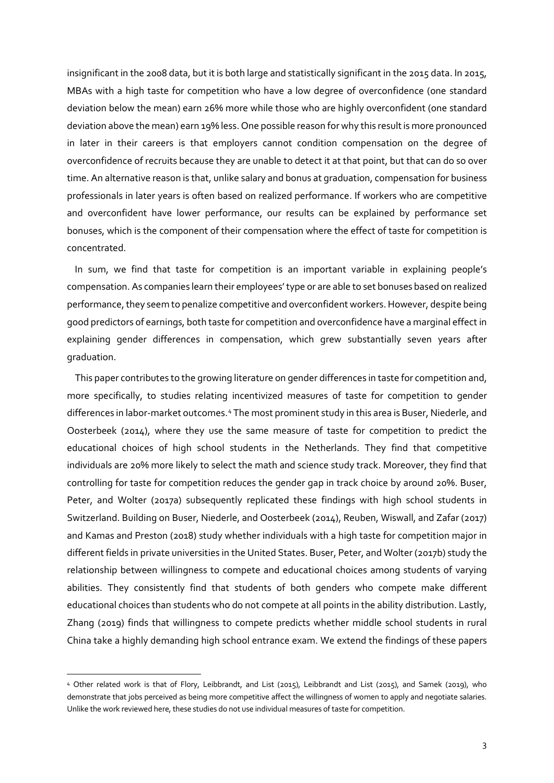insignificant in the 2008 data, but it is both large and statistically significant in the 2015 data. In 2015, MBAs with a high taste for competition who have a low degree of overconfidence (one standard deviation below the mean) earn 26% more while those who are highly overconfident (one standard deviation above the mean) earn 19% less. One possible reason for why this result is more pronounced in later in their careers is that employers cannot condition compensation on the degree of overconfidence of recruits because they are unable to detect it at that point, but that can do so over time. An alternative reason is that, unlike salary and bonus at graduation, compensation for business professionals in later years is often based on realized performance. If workers who are competitive and overconfident have lower performance, our results can be explained by performance set bonuses, which is the component of their compensation where the effect of taste for competition is concentrated.

In sum, we find that taste for competition is an important variable in explaining people's compensation. As companies learn their employees' type or are able to set bonuses based on realized performance, they seem to penalize competitive and overconfident workers. However, despite being good predictors of earnings, both taste for competition and overconfidence have a marginal effect in explaining gender differences in compensation, which grew substantially seven years after graduation.

This paper contributes to the growing literature on gender differences in taste for competition and, more specifically, to studies relating incentivized measures of taste for competition to gender differences in labor-market outcomes.[4](#page-3-0) The most prominent study in this area is Buser, Niederle, and Oosterbeek (2014), where they use the same measure of taste for competition to predict the educational choices of high school students in the Netherlands. They find that competitive individuals are 20% more likely to select the math and science study track. Moreover, they find that controlling for taste for competition reduces the gender gap in track choice by around 20%. Buser, Peter, and Wolter (2017a) subsequently replicated these findings with high school students in Switzerland. Building on Buser, Niederle, and Oosterbeek (2014), Reuben, Wiswall, and Zafar (2017) and Kamas and Preston (2018) study whether individuals with a high taste for competition major in different fields in private universities in the United States. Buser, Peter, and Wolter (2017b) study the relationship between willingness to compete and educational choices among students of varying abilities. They consistently find that students of both genders who compete make different educational choices than students who do not compete at all points in the ability distribution. Lastly, Zhang (2019) finds that willingness to compete predicts whether middle school students in rural China take a highly demanding high school entrance exam. We extend the findings of these papers

<span id="page-3-0"></span><sup>4</sup> Other related work is that of Flory, Leibbrandt, and List (2015), Leibbrandt and List (2015), and Samek (2019), who demonstrate that jobs perceived as being more competitive affect the willingness of women to apply and negotiate salaries. Unlike the work reviewed here, these studies do not use individual measures of taste for competition.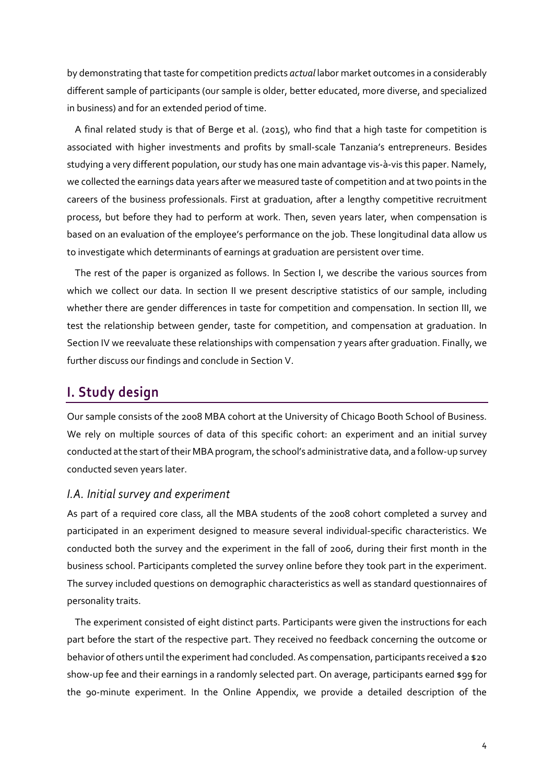by demonstrating that taste for competition predicts *actual* labor market outcomes in a considerably different sample of participants (our sample is older, better educated, more diverse, and specialized in business) and for an extended period of time.

A final related study is that of Berge et al. (2015), who find that a high taste for competition is associated with higher investments and profits by small-scale Tanzania's entrepreneurs. Besides studying a very different population, our study has one main advantage vis-à-vis this paper. Namely, we collected the earnings data years after we measured taste of competition and at two points in the careers of the business professionals. First at graduation, after a lengthy competitive recruitment process, but before they had to perform at work. Then, seven years later, when compensation is based on an evaluation of the employee's performance on the job. These longitudinal data allow us to investigate which determinants of earnings at graduation are persistent over time.

The rest of the paper is organized as follows. In Section I, we describe the various sources from which we collect our data. In section II we present descriptive statistics of our sample, including whether there are gender differences in taste for competition and compensation. In section III, we test the relationship between gender, taste for competition, and compensation at graduation. In Section IV we reevaluate these relationships with compensation 7 years after graduation. Finally, we further discuss our findings and conclude in Section V.

# **I. Study design**

Our sample consists of the 2008 MBA cohort at the University of Chicago Booth School of Business. We rely on multiple sources of data of this specific cohort: an experiment and an initial survey conducted at the start of their MBA program, the school's administrative data, and a follow-up survey conducted seven years later.

## *I.A. Initial survey and experiment*

As part of a required core class, all the MBA students of the 2008 cohort completed a survey and participated in an experiment designed to measure several individual-specific characteristics. We conducted both the survey and the experiment in the fall of 2006, during their first month in the business school. Participants completed the survey online before they took part in the experiment. The survey included questions on demographic characteristics as well as standard questionnaires of personality traits.

The experiment consisted of eight distinct parts. Participants were given the instructions for each part before the start of the respective part. They received no feedback concerning the outcome or behavior of others until the experiment had concluded. As compensation, participants received a \$20 show-up fee and their earnings in a randomly selected part. On average, participants earned \$99 for the 90-minute experiment. In the Online Appendix, we provide a detailed description of the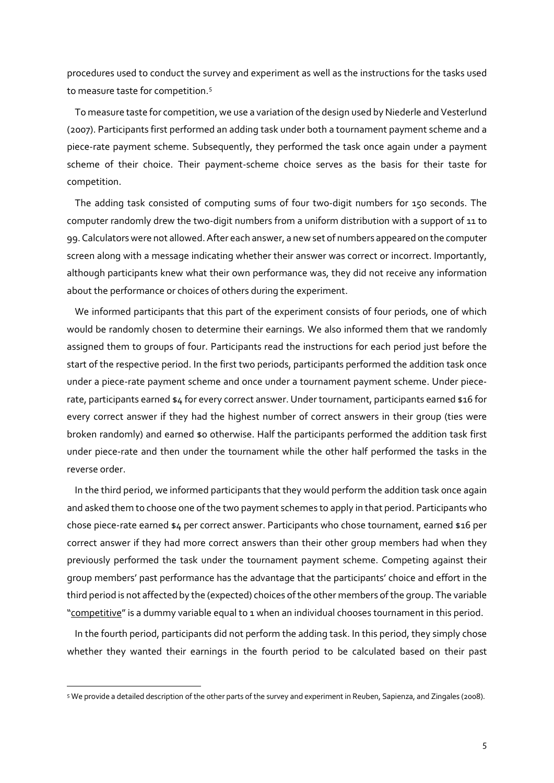procedures used to conduct the survey and experiment as well as the instructions for the tasks used to measure taste for competition.<sup>[5](#page-5-0)</sup>

To measure taste for competition, we use a variation of the design used by Niederle and Vesterlund (2007). Participants first performed an adding task under both a tournament payment scheme and a piece-rate payment scheme. Subsequently, they performed the task once again under a payment scheme of their choice. Their payment-scheme choice serves as the basis for their taste for competition.

The adding task consisted of computing sums of four two-digit numbers for 150 seconds. The computer randomly drew the two-digit numbers from a uniform distribution with a support of 11 to 99. Calculators were not allowed. After each answer, a new set of numbers appeared on the computer screen along with a message indicating whether their answer was correct or incorrect. Importantly, although participants knew what their own performance was, they did not receive any information about the performance or choices of others during the experiment.

We informed participants that this part of the experiment consists of four periods, one of which would be randomly chosen to determine their earnings. We also informed them that we randomly assigned them to groups of four. Participants read the instructions for each period just before the start of the respective period. In the first two periods, participants performed the addition task once under a piece-rate payment scheme and once under a tournament payment scheme. Under piecerate, participants earned \$4 for every correct answer. Under tournament, participants earned \$16 for every correct answer if they had the highest number of correct answers in their group (ties were broken randomly) and earned \$0 otherwise. Half the participants performed the addition task first under piece-rate and then under the tournament while the other half performed the tasks in the reverse order.

In the third period, we informed participants that they would perform the addition task once again and asked them to choose one of the two payment schemes to apply in that period. Participants who chose piece-rate earned \$4 per correct answer. Participants who chose tournament, earned \$16 per correct answer if they had more correct answers than their other group members had when they previously performed the task under the tournament payment scheme. Competing against their group members' past performance has the advantage that the participants' choice and effort in the third period is not affected by the (expected) choices of the other members of the group. The variable "competitive" is a dummy variable equal to 1 when an individual chooses tournament in this period.

In the fourth period, participants did not perform the adding task. In this period, they simply chose whether they wanted their earnings in the fourth period to be calculated based on their past

<span id="page-5-0"></span><sup>5</sup> We provide a detailed description of the other parts of the survey and experiment in Reuben, Sapienza, and Zingales (2008).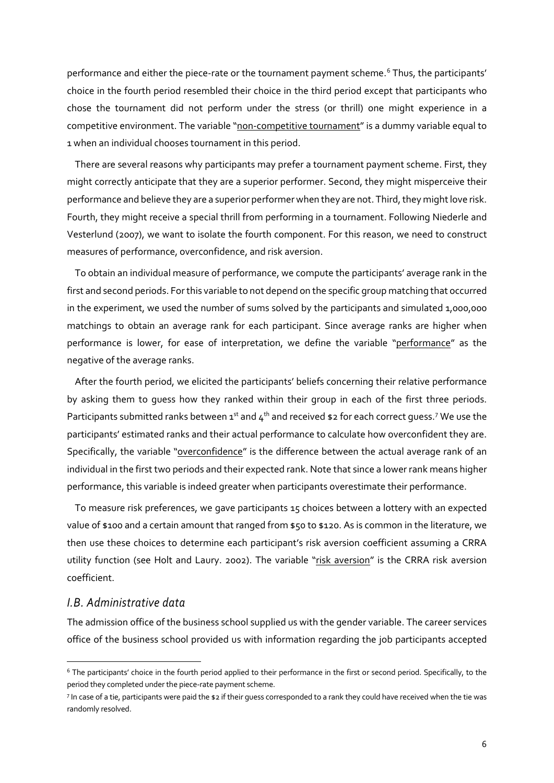performance and either the piece-rate or the tournament payment scheme.<sup>[6](#page-6-0)</sup> Thus, the participants' choice in the fourth period resembled their choice in the third period except that participants who chose the tournament did not perform under the stress (or thrill) one might experience in a competitive environment. The variable "non-competitive tournament" is a dummy variable equal to 1 when an individual chooses tournament in this period.

There are several reasons why participants may prefer a tournament payment scheme. First, they might correctly anticipate that they are a superior performer. Second, they might misperceive their performance and believe they are a superior performer when they are not. Third, they might love risk. Fourth, they might receive a special thrill from performing in a tournament. Following Niederle and Vesterlund (2007), we want to isolate the fourth component. For this reason, we need to construct measures of performance, overconfidence, and risk aversion.

To obtain an individual measure of performance, we compute the participants' average rank in the first and second periods. Forthis variable to not depend on the specific group matching that occurred in the experiment, we used the number of sums solved by the participants and simulated 1,000,000 matchings to obtain an average rank for each participant. Since average ranks are higher when performance is lower, for ease of interpretation, we define the variable "performance" as the negative of the average ranks.

After the fourth period, we elicited the participants' beliefs concerning their relative performance by asking them to guess how they ranked within their group in each of the first three periods. Participants submitted ranks between  $1^{st}$  and  $4^{th}$  and received \$2 for each correct guess.<sup>[7](#page-6-1)</sup> We use the participants' estimated ranks and their actual performance to calculate how overconfident they are. Specifically, the variable "overconfidence" is the difference between the actual average rank of an individual in the first two periods and their expected rank. Note that since a lower rank means higher performance, this variable is indeed greater when participants overestimate their performance.

To measure risk preferences, we gave participants 15 choices between a lottery with an expected value of \$100 and a certain amount that ranged from \$50 to \$120. As is common in the literature, we then use these choices to determine each participant's risk aversion coefficient assuming a CRRA utility function (see Holt and Laury. 2002). The variable "risk aversion" is the CRRA risk aversion coefficient.

## *I.B. Administrative data*

The admission office of the business school supplied us with the gender variable. The career services office of the business school provided us with information regarding the job participants accepted

<span id="page-6-0"></span><sup>6</sup> The participants' choice in the fourth period applied to their performance in the first or second period. Specifically, to the period they completed under the piece-rate payment scheme.

<span id="page-6-1"></span><sup>7</sup> In case of a tie, participants were paid the \$2 if their guess corresponded to a rank they could have received when the tie was randomly resolved.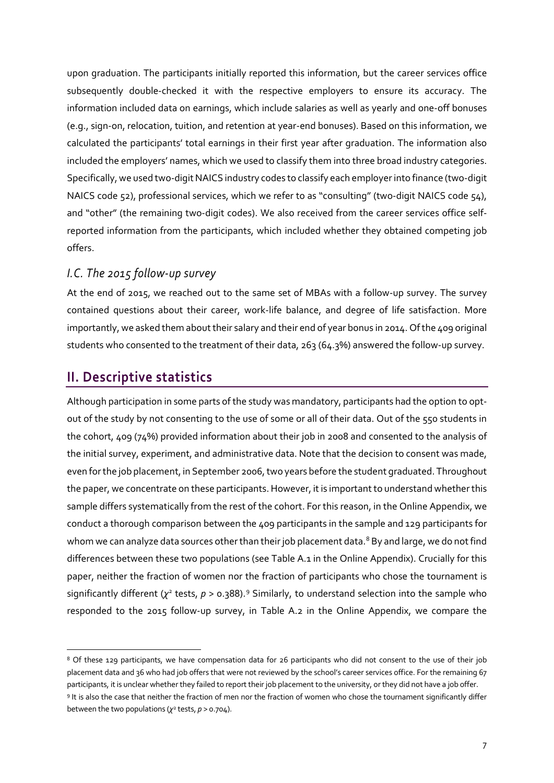upon graduation. The participants initially reported this information, but the career services office subsequently double-checked it with the respective employers to ensure its accuracy. The information included data on earnings, which include salaries as well as yearly and one-off bonuses (e.g., sign-on, relocation, tuition, and retention at year-end bonuses). Based on this information, we calculated the participants' total earnings in their first year after graduation. The information also included the employers' names, which we used to classify them into three broad industry categories. Specifically, we used two-digit NAICS industry codes to classify each employer into finance (two-digit NAICS code 52), professional services, which we refer to as "consulting" (two-digit NAICS code 54), and "other" (the remaining two-digit codes). We also received from the career services office selfreported information from the participants, which included whether they obtained competing job offers.

## *I.C. The 2015 follow-up survey*

At the end of 2015, we reached out to the same set of MBAs with a follow-up survey. The survey contained questions about their career, work-life balance, and degree of life satisfaction. More importantly, we asked them about their salary and their end of year bonus in 2014. Of the 409 original students who consented to the treatment of their data, 263 (64.3%) answered the follow-up survey.

## **II. Descriptive statistics**

Although participation in some parts of the study was mandatory, participants had the option to optout of the study by not consenting to the use of some or all of their data. Out of the 550 students in the cohort, 409 (74%) provided information about their job in 2008 and consented to the analysis of the initial survey, experiment, and administrative data. Note that the decision to consent was made, even for the job placement, in September 2006, two years before the student graduated. Throughout the paper, we concentrate on these participants. However, it is important to understand whether this sample differs systematically from the rest of the cohort. For this reason, in the Online Appendix, we conduct a thorough comparison between the 409 participants in the sample and 129 participants for whom we can analyze data sources other than their job placement data.<sup>[8](#page-7-0)</sup> By and large, we do not find differences between these two populations (see Table A.1 in the Online Appendix). Crucially for this paper, neither the fraction of women nor the fraction of participants who chose the tournament is significantly different ( $\chi^2$  tests,  $p > 0.388$ ).<sup>[9](#page-7-1)</sup> Similarly, to understand selection into the sample who responded to the 2015 follow-up survey, in Table A.2 in the Online Appendix, we compare the

<span id="page-7-1"></span><span id="page-7-0"></span><sup>&</sup>lt;sup>8</sup> Of these 129 participants, we have compensation data for 26 participants who did not consent to the use of their job placement data and 36 who had job offers that were not reviewed by the school's career services office. For the remaining 67 participants, it is unclear whether they failed to report their job placement to the university, or they did not have a job offer. <sup>9</sup> It is also the case that neither the fraction of men nor the fraction of women who chose the tournament significantly differ between the two populations ( $\chi^2$  tests,  $p > 0.704$ ).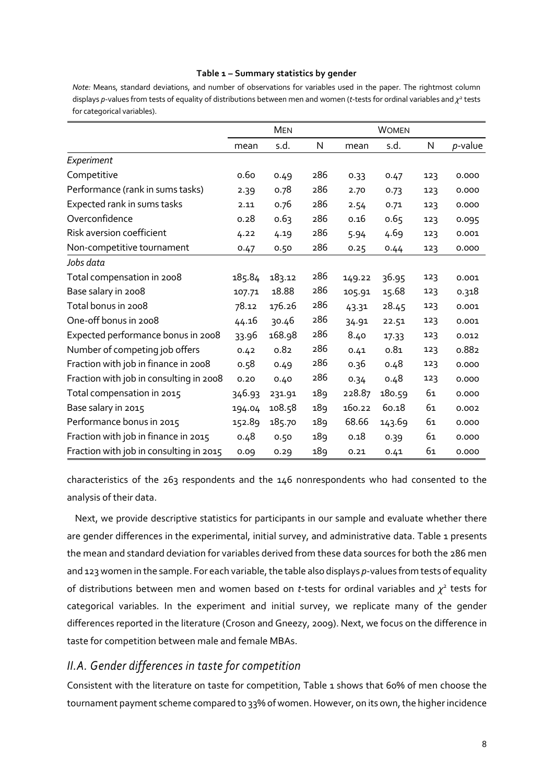#### **Table 1 – Summary statistics by gender**

*Note:* Means, standard deviations, and number of observations for variables used in the paper. The rightmost column displays *p*-values from tests of equality of distributions between men and women (*t*-tests for ordinal variables and *χ*<sup>2</sup> tests for categorical variables).

|                                         |        | <b>MEN</b> |     |        | <b>WOMEN</b> |     |            |
|-----------------------------------------|--------|------------|-----|--------|--------------|-----|------------|
|                                         | mean   | s.d.       | N   | mean   | s.d.         | N   | $p$ -value |
| Experiment                              |        |            |     |        |              |     |            |
| Competitive                             | 0.60   | 0.49       | 286 | 0.33   | 0.47         | 123 | 0.000      |
| Performance (rank in sums tasks)        | 2.39   | 0.78       | 286 | 2.70   | 0.73         | 123 | 0.000      |
| Expected rank in sums tasks             | 2.11   | 0.76       | 286 | 2.54   | 0.71         | 123 | 0.000      |
| Overconfidence                          | 0.28   | 0.63       | 286 | 0.16   | 0.65         | 123 | 0.095      |
| Risk aversion coefficient               | 4.22   | 4.19       | 286 | 5.94   | 4.69         | 123 | 0.001      |
| Non-competitive tournament              | 0.47   | 0.50       | 286 | 0.25   | 0.44         | 123 | 0.000      |
| Jobs data                               |        |            |     |        |              |     |            |
| Total compensation in 2008              | 185.84 | 183.12     | 286 | 149.22 | 36.95        | 123 | 0.001      |
| Base salary in 2008                     | 107.71 | 18.88      | 286 | 105.91 | 15.68        | 123 | 0.318      |
| Total bonus in 2008                     | 78.12  | 176.26     | 286 | 43.31  | 28.45        | 123 | 0.001      |
| One-off bonus in 2008                   | 44.16  | 30.46      | 286 | 34.91  | 22.51        | 123 | 0.001      |
| Expected performance bonus in 2008      | 33.96  | 168.98     | 286 | 8.40   | 17.33        | 123 | 0.012      |
| Number of competing job offers          | 0.42   | 0.82       | 286 | 0.41   | 0.81         | 123 | 0.882      |
| Fraction with job in finance in 2008    | 0.58   | 0.49       | 286 | 0.36   | 0.48         | 123 | 0.000      |
| Fraction with job in consulting in 2008 | 0.20   | 0.40       | 286 | 0.34   | 0.48         | 123 | 0.000      |
| Total compensation in 2015              | 346.93 | 231.91     | 189 | 228.87 | 180.59       | 61  | 0.000      |
| Base salary in 2015                     | 194.04 | 108.58     | 189 | 160.22 | 60.18        | 61  | 0.002      |
| Performance bonus in 2015               | 152.89 | 185.70     | 189 | 68.66  | 143.69       | 61  | 0.000      |
| Fraction with job in finance in 2015    | 0.48   | 0.50       | 189 | 0.18   | 0.39         | 61  | 0.000      |
| Fraction with job in consulting in 2015 | 0.09   | 0.29       | 189 | 0.21   | 0.41         | 61  | 0.000      |

characteristics of the 263 respondents and the 146 nonrespondents who had consented to the analysis of their data.

Next, we provide descriptive statistics for participants in our sample and evaluate whether there are gender differences in the experimental, initial survey, and administrative data. Table 1 presents the mean and standard deviation for variables derived from these data sources for both the 286 men and 123 women in the sample. For each variable, the table also displays *p*-values from tests of equality of distributions between men and women based on *t*-tests for ordinal variables and *χ*<sup>2</sup> tests for categorical variables. In the experiment and initial survey, we replicate many of the gender differences reported in the literature (Croson and Gneezy, 2009). Next, we focus on the difference in taste for competition between male and female MBAs.

## *II.A. Gender differences in taste for competition*

Consistent with the literature on taste for competition, Table 1 shows that 60% of men choose the tournament payment scheme compared to 33% of women. However, on its own, the higher incidence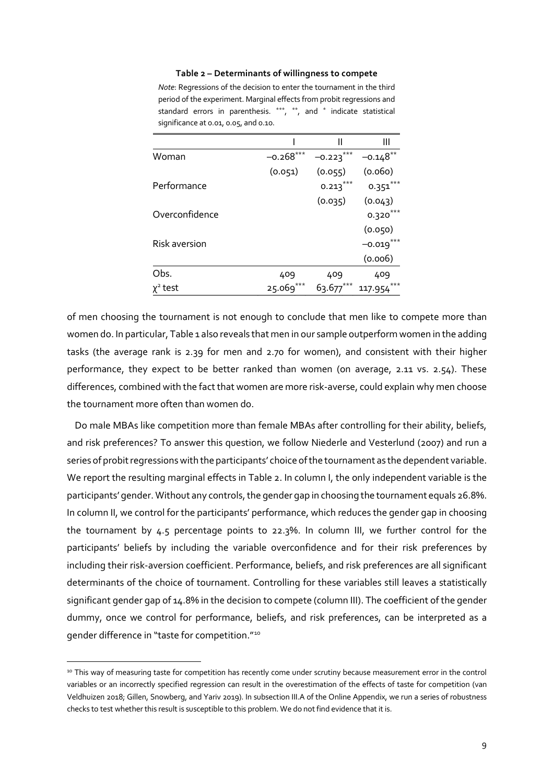#### **Table 2 – Determinants of willingness to compete**

| Note: Regressions of the decision to enter the tournament in the third |
|------------------------------------------------------------------------|
| period of the experiment. Marginal effects from probit regressions and |
| standard errors in parenthesis. ***, **, and * indicate statistical    |
| significance at 0.01, 0.05, and 0.10.                                  |

|                |             | Ш           | Ш          |
|----------------|-------------|-------------|------------|
| Woman          | $-0.268***$ | $-0.223***$ | $-0.148**$ |
|                | (0.051)     | (0.055)     | (0.060)    |
| Performance    |             | $0.213***$  | $0.351***$ |
|                |             | (0.035)     | (0.043)    |
| Overconfidence |             |             | 0.320      |
|                |             |             | (0.050)    |
| Risk aversion  |             |             | $-0.019$   |
|                |             |             | (0.006)    |
| Obs.           | 409         | 409         | 409        |
| test           | 25.069      | 63.677      | 117.954    |

of men choosing the tournament is not enough to conclude that men like to compete more than women do. In particular, Table 1 also reveals that men in our sample outperform women in the adding tasks (the average rank is 2.39 for men and 2.70 for women), and consistent with their higher performance, they expect to be better ranked than women (on average, 2.11 vs. 2.54). These differences, combined with the fact that women are more risk-averse, could explain why men choose the tournament more often than women do.

Do male MBAs like competition more than female MBAs after controlling for their ability, beliefs, and risk preferences? To answer this question, we follow Niederle and Vesterlund (2007) and run a series of probit regressions with the participants' choice of the tournament as the dependent variable. We report the resulting marginal effects in Table 2. In column I, the only independent variable is the participants' gender. Without any controls, the gender gap in choosing the tournament equals 26.8%. In column II, we control for the participants' performance, which reduces the gender gap in choosing the tournament by 4.5 percentage points to 22.3%. In column III, we further control for the participants' beliefs by including the variable overconfidence and for their risk preferences by including their risk-aversion coefficient. Performance, beliefs, and risk preferences are all significant determinants of the choice of tournament. Controlling for these variables still leaves a statistically significant gender gap of 14.8% in the decision to compete (column III). The coefficient of the gender dummy, once we control for performance, beliefs, and risk preferences, can be interpreted as a gender difference in "taste for competition."[10](#page-9-0)

<span id="page-9-0"></span><sup>10</sup> This way of measuring taste for competition has recently come under scrutiny because measurement error in the control variables or an incorrectly specified regression can result in the overestimation of the effects of taste for competition (van Veldhuizen 2018; Gillen, Snowberg, and Yariv 2019). In subsection III.A of the Online Appendix, we run a series of robustness checks to test whether this result is susceptible to this problem. We do not find evidence that it is.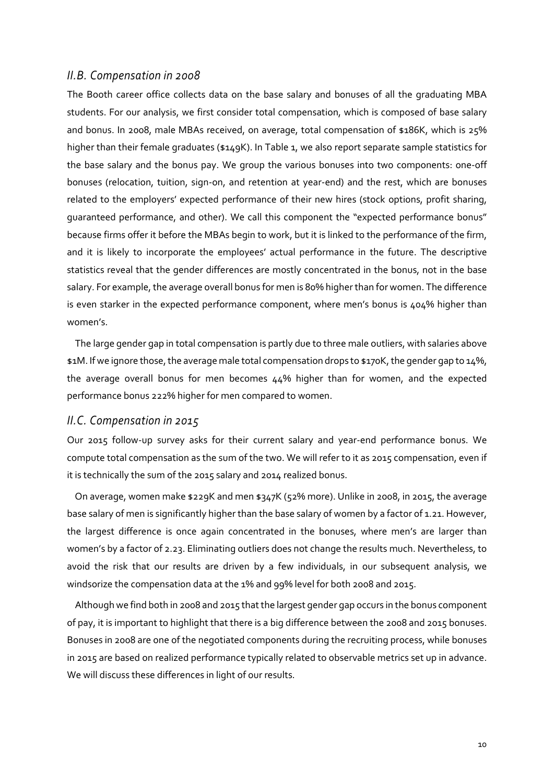### *II.B. Compensation in 2008*

The Booth career office collects data on the base salary and bonuses of all the graduating MBA students. For our analysis, we first consider total compensation, which is composed of base salary and bonus. In 2008, male MBAs received, on average, total compensation of \$186K, which is 25% higher than their female graduates (\$149K). In Table 1, we also report separate sample statistics for the base salary and the bonus pay. We group the various bonuses into two components: one-off bonuses (relocation, tuition, sign-on, and retention at year-end) and the rest, which are bonuses related to the employers' expected performance of their new hires (stock options, profit sharing, guaranteed performance, and other). We call this component the "expected performance bonus" because firms offer it before the MBAs begin to work, but it is linked to the performance of the firm, and it is likely to incorporate the employees' actual performance in the future. The descriptive statistics reveal that the gender differences are mostly concentrated in the bonus, not in the base salary. For example, the average overall bonus for men is 80% higher than for women. The difference is even starker in the expected performance component, where men's bonus is 404% higher than women's.

The large gender gap in total compensation is partly due to three male outliers, with salaries above \$1M. If we ignore those, the average male total compensation drops to \$170K, the gender gap to 14%, the average overall bonus for men becomes 44% higher than for women, and the expected performance bonus 222% higher for men compared to women.

#### *II.C. Compensation in 2015*

Our 2015 follow-up survey asks for their current salary and year-end performance bonus. We compute total compensation as the sum of the two. We will refer to it as 2015 compensation, even if it is technically the sum of the 2015 salary and 2014 realized bonus.

On average, women make \$229K and men \$347K (52% more). Unlike in 2008, in 2015, the average base salary of men is significantly higher than the base salary of women by a factor of 1.21. However, the largest difference is once again concentrated in the bonuses, where men's are larger than women's by a factor of 2.23. Eliminating outliers does not change the results much. Nevertheless, to avoid the risk that our results are driven by a few individuals, in our subsequent analysis, we windsorize the compensation data at the 1% and 99% level for both 2008 and 2015.

Although we find both in 2008 and 2015 that the largest gender gap occurs in the bonus component of pay, it is important to highlight that there is a big difference between the 2008 and 2015 bonuses. Bonuses in 2008 are one of the negotiated components during the recruiting process, while bonuses in 2015 are based on realized performance typically related to observable metrics set up in advance. We will discuss these differences in light of our results.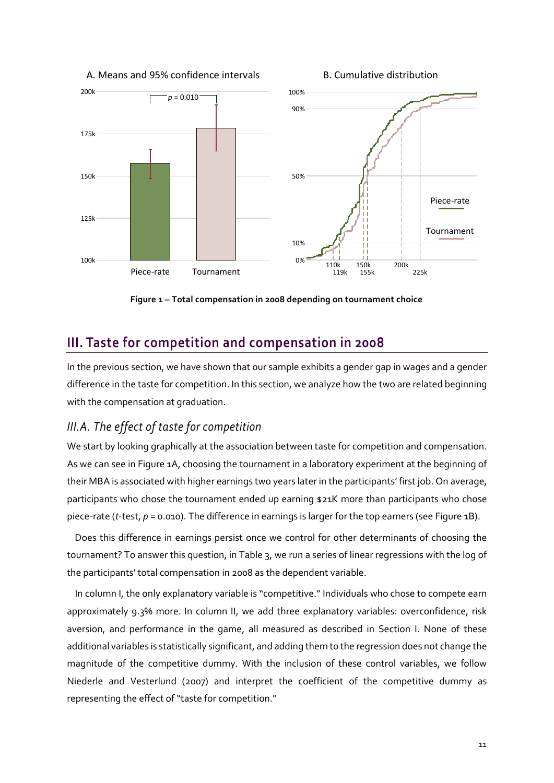A. Means and 95% confidence intervals

B. Cumulative distribution



**Figure 1 – Total compensation in 2008 depending on tournament choice**

# **III. Taste for competition and compensation in 2008**

In the previous section, we have shown that our sample exhibits a gender gap in wages and a gender difference in the taste for competition. In this section, we analyze how the two are related beginning with the compensation at graduation.

## *III.A. The effect of taste for competition*

We start by looking graphically at the association between taste for competition and compensation. As we can see in Figure 1A, choosing the tournament in a laboratory experiment at the beginning of their MBA is associated with higher earnings two years later in the participants' first job. On average, participants who chose the tournament ended up earning \$21K more than participants who chose piece-rate (*t*-test, *p* = 0.010). The difference in earnings is larger for the top earners (see Figure 1B).

Does this difference in earnings persist once we control for other determinants of choosing the tournament? To answer this question, in Table 3, we run a series of linear regressions with the log of the participants' total compensation in 2008 as the dependent variable.

In column I, the only explanatory variable is "competitive." Individuals who chose to compete earn approximately 9.3% more. In column II, we add three explanatory variables: overconfidence, risk aversion, and performance in the game, all measured as described in Section I. None of these additional variables is statistically significant, and adding them to the regression does not change the magnitude of the competitive dummy. With the inclusion of these control variables, we follow Niederle and Vesterlund (2007) and interpret the coefficient of the competitive dummy as representing the effect of "taste for competition."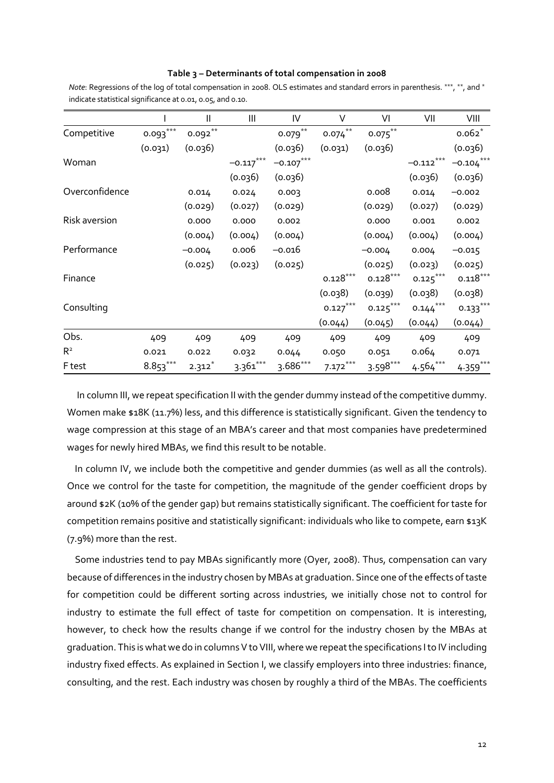| Table 3 – Determinants of total compensation in 2008 |  |  |
|------------------------------------------------------|--|--|
|                                                      |  |  |

|                |              | $\mathbf{I}$ | Ш           | IV          | V                    | VI         | VII                    | VIII         |
|----------------|--------------|--------------|-------------|-------------|----------------------|------------|------------------------|--------------|
| Competitive    | ***<br>0.093 | $0.092***$   |             | $0.079$ **  | $***$<br>0.074       | $0.075***$ |                        | $0.062*$     |
|                | (0.031)      | (0.036)      |             | (0.036)     | (0.031)              | (0.036)    |                        | (0.036)      |
| Woman          |              |              | $-0.117***$ | $-0.107***$ |                      |            | $-0.112***$            | $-0.104$ *** |
|                |              |              | (0.036)     | (0.036)     |                      |            | (0.036)                | (0.036)      |
| Overconfidence |              | 0.014        | 0.024       | 0.003       |                      | 0.008      | 0.014                  | $-0.002$     |
|                |              | (0.029)      | (0.027)     | (0.029)     |                      | (0.029)    | (0.027)                | (0.029)      |
| Risk aversion  |              | 0.000        | 0.000       | 0.002       |                      | 0.000      | 0.001                  | 0.002        |
|                |              | (0.004)      | (0.004)     | (0.004)     |                      | (0.004)    | (0.004)                | (0.004)      |
| Performance    |              | $-0.004$     | 0.006       | -0.016      |                      | $-0.004$   | 0.004                  | $-0.015$     |
|                |              | (0.025)      | (0.023)     | (0.025)     |                      | (0.025)    | (0.023)                | (0.025)      |
| Finance        |              |              |             |             | $0.128***$           | $0.128***$ | $0.125***$             | $0.118***$   |
|                |              |              |             |             | (0.038)              | (0.039)    | (0.038)                | (0.038)      |
| Consulting     |              |              |             |             | $0.127^\mathrm{***}$ | $0.125***$ | $0.144$ <sup>***</sup> | $0.133***$   |
|                |              |              |             |             | (0.044)              | (0.045)    | (0.044)                | (0.044)      |
| Obs.           | 409          | 409          | 409         | 409         | 409                  | 409        | 409                    | 409          |
| R <sup>2</sup> | 0.021        | 0.022        | 0.032       | 0.044       | 0.050                | 0.051      | 0.064                  | 0.071        |
| F test         | $8.853***$   | $2.312*$     | $3.361***$  | $3.686***$  | $7.172***$           | $3.598***$ | $4.564***$             | $4.359***$   |

*Note*: Regressions of the log of total compensation in 2008. OLS estimates and standard errors in parenthesis. \*\*\*, \*\*, and \* indicate statistical significance at 0.01, 0.05, and 0.10.

In column III, we repeat specification II with the gender dummy instead of the competitive dummy. Women make \$18K (11.7%) less, and this difference is statistically significant. Given the tendency to wage compression at this stage of an MBA's career and that most companies have predetermined wages for newly hired MBAs, we find this result to be notable.

In column IV, we include both the competitive and gender dummies (as well as all the controls). Once we control for the taste for competition, the magnitude of the gender coefficient drops by around \$2K (10% of the gender gap) but remains statistically significant. The coefficient for taste for competition remains positive and statistically significant: individuals who like to compete, earn \$13K (7.9%) more than the rest.

Some industries tend to pay MBAs significantly more (Oyer, 2008). Thus, compensation can vary because of differences in the industry chosen by MBAs at graduation. Since one of the effects of taste for competition could be different sorting across industries, we initially chose not to control for industry to estimate the full effect of taste for competition on compensation. It is interesting, however, to check how the results change if we control for the industry chosen by the MBAs at graduation. This is what we do in columns V to VIII, where we repeat the specifications I to IV including industry fixed effects. As explained in Section I, we classify employers into three industries: finance, consulting, and the rest. Each industry was chosen by roughly a third of the MBAs. The coefficients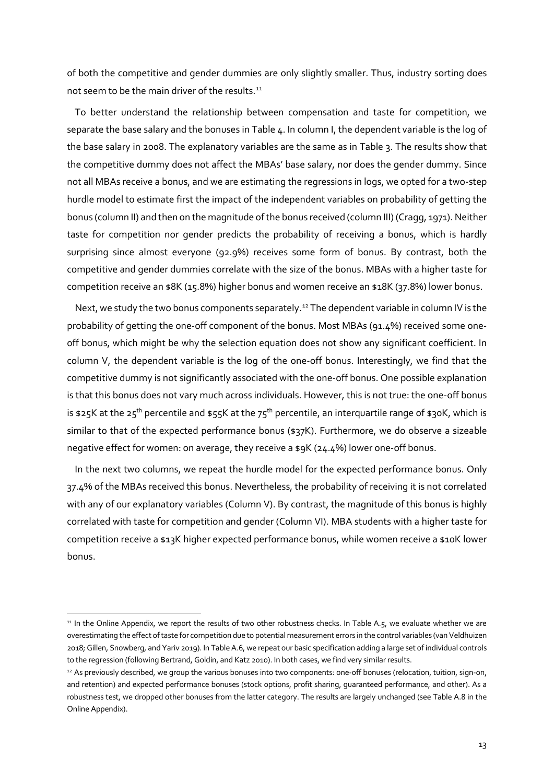of both the competitive and gender dummies are only slightly smaller. Thus, industry sorting does not seem to be the main driver of the results.<sup>[11](#page-13-0)</sup>

To better understand the relationship between compensation and taste for competition, we separate the base salary and the bonuses in Table 4. In column I, the dependent variable is the log of the base salary in 2008. The explanatory variables are the same as in Table 3. The results show that the competitive dummy does not affect the MBAs' base salary, nor does the gender dummy. Since not all MBAs receive a bonus, and we are estimating the regressions in logs, we opted for a two-step hurdle model to estimate first the impact of the independent variables on probability of getting the bonus (column II) and then on the magnitude of the bonus received (column III) (Cragg, 1971). Neither taste for competition nor gender predicts the probability of receiving a bonus, which is hardly surprising since almost everyone (92.9%) receives some form of bonus. By contrast, both the competitive and gender dummies correlate with the size of the bonus. MBAs with a higher taste for competition receive an \$8K (15.8%) higher bonus and women receive an \$18K (37.8%) lower bonus.

Next, we study the two bonus components separately.<sup>[12](#page-13-1)</sup> The dependent variable in column IV is the probability of getting the one-off component of the bonus. Most MBAs (91.4%) received some oneoff bonus, which might be why the selection equation does not show any significant coefficient. In column V, the dependent variable is the log of the one-off bonus. Interestingly, we find that the competitive dummy is not significantly associated with the one-off bonus. One possible explanation is that this bonus does not vary much across individuals. However, this is not true: the one-off bonus is \$25K at the 25<sup>th</sup> percentile and \$55K at the 75<sup>th</sup> percentile, an interquartile range of \$30K, which is similar to that of the expected performance bonus (\$37K). Furthermore, we do observe a sizeable negative effect for women: on average, they receive a \$9K (24.4%) lower one-off bonus.

In the next two columns, we repeat the hurdle model for the expected performance bonus. Only 37.4% of the MBAs received this bonus. Nevertheless, the probability of receiving it is not correlated with any of our explanatory variables (Column V). By contrast, the magnitude of this bonus is highly correlated with taste for competition and gender (Column VI). MBA students with a higher taste for competition receive a \$13K higher expected performance bonus, while women receive a \$10K lower bonus.

<span id="page-13-0"></span><sup>&</sup>lt;sup>11</sup> In the Online Appendix, we report the results of two other robustness checks. In Table A.5, we evaluate whether we are overestimating the effect of taste for competition due to potential measurement errors in the control variables (van Veldhuizen 2018; Gillen, Snowberg, and Yariv 2019). In Table A.6, we repeat our basic specification adding a large set of individual controls to the regression (following Bertrand, Goldin, and Katz 2010). In both cases, we find very similar results.

<span id="page-13-1"></span><sup>12</sup> As previously described, we group the various bonuses into two components: one-off bonuses (relocation, tuition, sign-on, and retention) and expected performance bonuses (stock options, profit sharing, guaranteed performance, and other). As a robustness test, we dropped other bonuses from the latter category. The results are largely unchanged (see Table A.8 in the Online Appendix).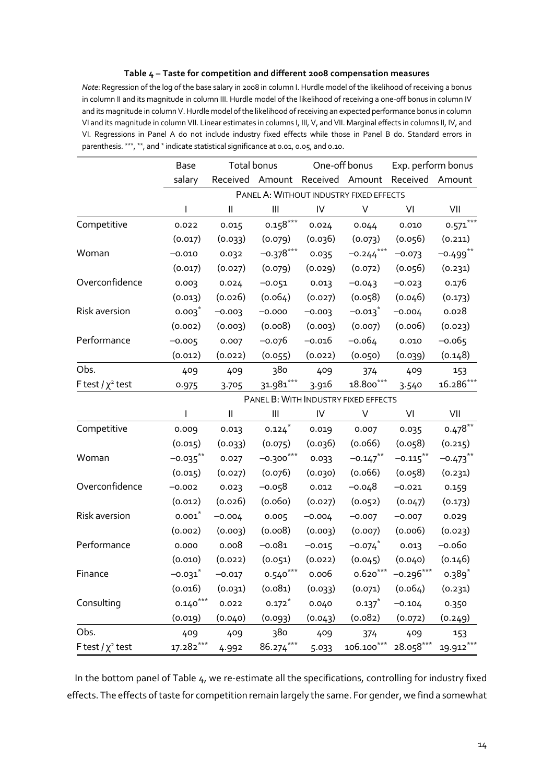#### **Table 4 – Taste for competition and different 2008 compensation measures**

*Note*: Regression of the log of the base salary in 2008 in column I. Hurdle model of the likelihood of receiving a bonus in column II and its magnitude in column III. Hurdle model of the likelihood of receiving a one-off bonus in column IV and its magnitude in column V.Hurdle model of the likelihood of receiving an expected performance bonus in column VI and its magnitude in column VII. Linear estimates in columns I, III, V, and VII. Marginal effects in columns II, IV, and VI. Regressions in Panel A do not include industry fixed effects while those in Panel B do. Standard errors in parenthesis. \*\*\*, \*\*, and \* indicate statistical significance at 0.01, 0.05, and 0.10.

|                        | <b>Base</b> | Total bonus                |                                                 | One-off bonus |                                  | Exp. perform bonus |             |
|------------------------|-------------|----------------------------|-------------------------------------------------|---------------|----------------------------------|--------------------|-------------|
|                        | salary      |                            | Received Amount Received Amount Received Amount |               |                                  |                    |             |
|                        |             |                            | PANEL A: WITHOUT INDUSTRY FIXED EFFECTS         |               |                                  |                    |             |
|                        | I           | $\mathbf{  }$              | $\mathbf{III}$                                  | ${\sf IV}$    | $\vee$                           | VI                 | VII         |
| Competitive            | 0.022       | 0.015                      | $0.158***$                                      | 0.024         | 0.044                            | 0.010              | $0.571***$  |
|                        | (0.017)     | (0.033)                    | (0.079)                                         | (0.036)       | (0.073)                          | (0.056)            | (0.211)     |
| Woman                  | $-0.010$    | 0.032                      | $-0.378***$                                     | 0.035         | $-0.244$ <sup>***</sup>          | $-0.073$           | $-0.499$ ** |
|                        | (0.017)     | (0.027)                    | (0.079)                                         | (0.029)       | (0.072)                          | (0.056)            | (0.231)     |
| Overconfidence         | 0.003       | 0.024                      | $-0.051$                                        | 0.013         | $-0.043$                         | $-0.023$           | 0.176       |
|                        | (0.013)     | (0.026)                    | (0.064)                                         | (0.027)       | (0.058)                          | (0.046)            | (0.173)     |
| Risk aversion          | $0.003^*$   | $-0.003$                   | $-0.000$                                        | $-0.003$      | $-0.013$                         | $-0.004$           | 0.028       |
|                        | (0.002)     | (0.003)                    | (0.008)                                         | (0.003)       | (0.007)                          | (0.006)            | (0.023)     |
| Performance            | $-0.005$    | 0.007                      | –0.076                                          | $-0.016$      | $-0.064$                         | 0.010              | $-0.065$    |
|                        | (0.012)     | (0.022)                    | (0.055)                                         | (0.022)       | (0.050)                          | (0.039)            | (0.148)     |
| Obs.                   | 409         | 409                        | 380                                             | 409           | 374                              | 409                | 153         |
| F test / $\chi^2$ test | 0.975       | 3.705                      | $31.981***$                                     | 3.916         | $\textbf{18.800}^{\ast\ast\ast}$ | 3.540              | $16.286***$ |
|                        |             |                            | PANEL B: WITH INDUSTRY FIXED EFFECTS            |               |                                  |                    |             |
|                        |             | $\mathop{\rm II}\nolimits$ | $\mathop{\rm III}\nolimits$                     | IV            | $\vee$                           | VI                 | VII         |
| Competitive            | 0.009       | 0.013                      | 0.124                                           | 0.019         | 0.007                            | 0.035              | $0.478***$  |
|                        | (0.015)     | (0.033)                    | (0.075)                                         | (0.036)       | (0.066)                          | (0.058)            | (0.215)     |
| Woman                  | $-0.035***$ | 0.027                      | $-0.300***$                                     | 0.033         | $-0.147$ **                      | $-0.115$ **        | $-0.473$ ** |
|                        | (0.015)     | (0.027)                    | (0.076)                                         | (0.030)       | (0.066)                          | (0.058)            | (0.231)     |
| Overconfidence         | $-0.002$    | 0.023                      | -0.058                                          | 0.012         | $-0.048$                         | $-0.021$           | 0.159       |
|                        | (0.012)     | (0.026)                    | (0.060)                                         | (0.027)       | (0.052)                          | (0.047)            | (0.173)     |
| Risk aversion          | $0.001*$    | $-0.004$                   | 0.005                                           | $-0.004$      | $-0.007$                         | $-0.007$           | 0.029       |
|                        | (0.002)     | (0.003)                    | (0.008)                                         | (0.003)       | (0.007)                          | (0.006)            | (0.023)     |
| Performance            | 0.000       | 0.008                      | $-0.081$                                        | $-0.015$      | $-0.074$ $0.013$                 |                    | $-0.060$    |
|                        | (0.010)     | (0.022)                    | (0.051)                                         | (0.022)       | (0.045)                          | (0.040)            | (0.146)     |
| Finance                | $-0.031$ *  |                            |                                                 |               |                                  |                    |             |
|                        | (0.016)     | (0.031)                    | (0.081)                                         | (0.033)       | (0.071)                          | (0.064)            | (0.231)     |
| Consulting             | $0.140***$  | 0.022                      | $0.172$ <sup>*</sup>                            | 0.040         | 0.137                            | $-0.104$           | 0.350       |
|                        | (0.019)     | (0.040)                    | (0.093)                                         | (0.043)       | (0.082)                          | (0.072)            | (0.249)     |
| Obs.                   | 409         | 409                        | 380                                             | 409           | 374                              | 409                | 153         |
| F test / $\chi^2$ test | $17.282***$ | 4.992                      | 86.274***                                       | 5.033         | $106.100***$                     | $28.058***$        | 19.912***   |

In the bottom panel of Table 4, we re-estimate all the specifications, controlling for industry fixed effects. The effects of taste for competition remain largely the same. For gender, we find a somewhat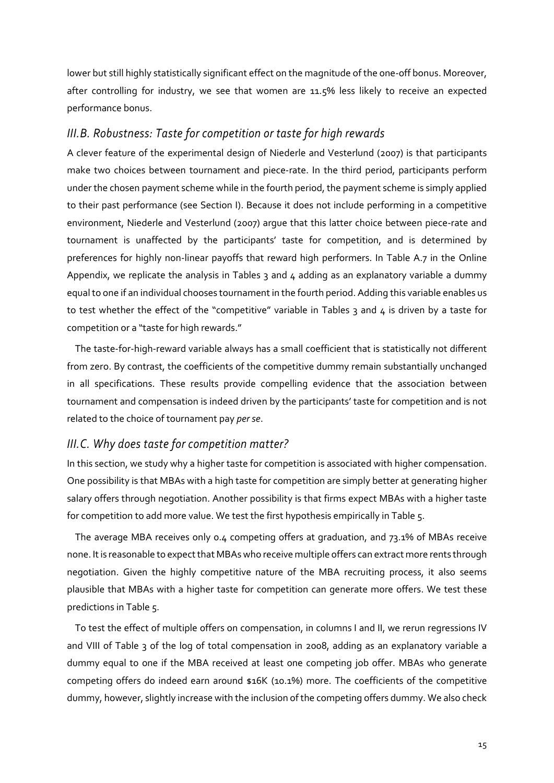lower but still highly statistically significant effect on the magnitude of the one-off bonus. Moreover, after controlling for industry, we see that women are 11.5% less likely to receive an expected performance bonus.

## *III.B. Robustness: Taste for competition or taste for high rewards*

A clever feature of the experimental design of Niederle and Vesterlund (2007) is that participants make two choices between tournament and piece-rate. In the third period, participants perform under the chosen payment scheme while in the fourth period, the payment scheme is simply applied to their past performance (see Section I). Because it does not include performing in a competitive environment, Niederle and Vesterlund (2007) argue that this latter choice between piece-rate and tournament is unaffected by the participants' taste for competition, and is determined by preferences for highly non-linear payoffs that reward high performers. In Table A.7 in the Online Appendix, we replicate the analysis in Tables  $3$  and  $4$  adding as an explanatory variable a dummy equal to one if an individual chooses tournament in the fourth period. Adding this variable enables us to test whether the effect of the "competitive" variable in Tables 3 and 4 is driven by a taste for competition or a "taste for high rewards."

The taste-for-high-reward variable always has a small coefficient that is statistically not different from zero. By contrast, the coefficients of the competitive dummy remain substantially unchanged in all specifications. These results provide compelling evidence that the association between tournament and compensation is indeed driven by the participants' taste for competition and is not related to the choice of tournament pay *per se*.

## *III.C. Why does taste for competition matter?*

In this section, we study why a higher taste for competition is associated with higher compensation. One possibility is that MBAs with a high taste for competition are simply better at generating higher salary offers through negotiation. Another possibility is that firms expect MBAs with a higher taste for competition to add more value. We test the first hypothesis empirically in Table 5.

The average MBA receives only 0.4 competing offers at graduation, and 73.1% of MBAs receive none. It is reasonable to expect that MBAs who receive multiple offers can extract more rents through negotiation. Given the highly competitive nature of the MBA recruiting process, it also seems plausible that MBAs with a higher taste for competition can generate more offers. We test these predictions in Table 5.

To test the effect of multiple offers on compensation, in columns I and II, we rerun regressions IV and VIII of Table 3 of the log of total compensation in 2008, adding as an explanatory variable a dummy equal to one if the MBA received at least one competing job offer. MBAs who generate competing offers do indeed earn around \$16K (10.1%) more. The coefficients of the competitive dummy, however, slightly increase with the inclusion of the competing offers dummy. We also check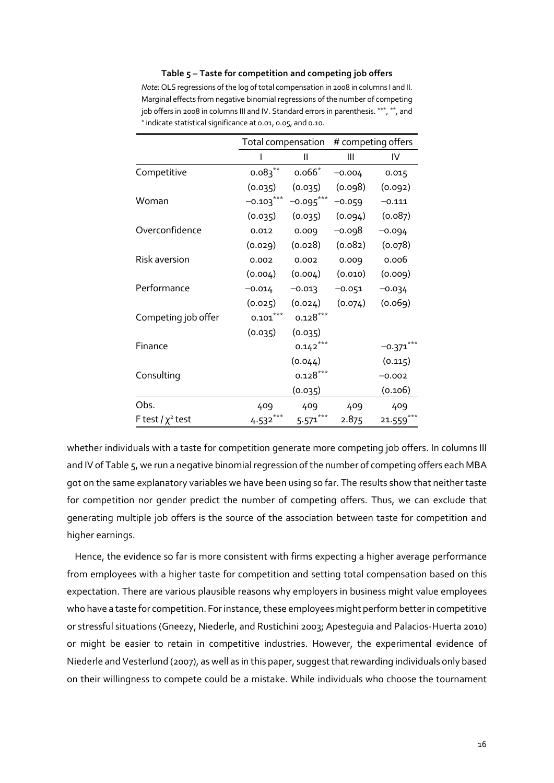| # competing offers<br>Total compensation |             |              |          |          |  |  |  |  |
|------------------------------------------|-------------|--------------|----------|----------|--|--|--|--|
|                                          |             |              |          |          |  |  |  |  |
|                                          |             | Ш            | Ш        | IV       |  |  |  |  |
| Competitive                              | $0.083***$  | $0.066*$     | $-0.004$ | 0.015    |  |  |  |  |
|                                          | (0.035)     | (0.035)      | (0.098)  | (0.092)  |  |  |  |  |
| Woman                                    | $-0.103***$ | $-0.095***$  | $-0.059$ | $-0.111$ |  |  |  |  |
|                                          | (0.035)     | (0.035)      | (0.094)  | (0.087)  |  |  |  |  |
| Overconfidence                           | 0.012       | 0.009        | –0.098   | $-0.094$ |  |  |  |  |
|                                          | (0.029)     | (0.028)      | (0.082)  | (0.078)  |  |  |  |  |
| Risk aversion                            | 0.002       | 0.002        | 0.009    | 0.006    |  |  |  |  |
|                                          | (0.004)     | (0.004)      | (0.010)  | (0.009)  |  |  |  |  |
| Performance                              | $-0.014$    | $-0.013$     | $-0.051$ | $-0.034$ |  |  |  |  |
|                                          | (0.025)     | (0.024)      | (0.074)  | (0.069)  |  |  |  |  |
| Competing job offer                      | $0.101***$  | $0.128***$   |          |          |  |  |  |  |
|                                          | (0.035)     | (0.035)      |          |          |  |  |  |  |
| Finance                                  |             | $0.142***$   |          | $-0.371$ |  |  |  |  |
|                                          |             | (0.044)      |          | (0.115)  |  |  |  |  |
| Consulting                               |             | $0.128***$   |          | $-0.002$ |  |  |  |  |
|                                          |             | (0.035)      |          | (0.106)  |  |  |  |  |
| Obs.                                     | 409         | 409          | 409      | 409      |  |  |  |  |
| F test / $\chi^2$ test                   | 4.532       | ***<br>5.571 | 2.875    | 21.559   |  |  |  |  |

**Table 5 – Taste for competition and competing job offers**

*Note*: OLS regressions of the log of total compensation in 2008 in columns I and II. Marginal effects from negative binomial regressions of the number of competing job offers in 2008 in columns III and IV. Standard errors in parenthesis. \*\*\*, \*\*, and \* indicate statistical significance at 0.01, 0.05, and 0.10.

whether individuals with a taste for competition generate more competing job offers. In columns III and IV of Table 5, we run a negative binomial regression of the number of competing offers each MBA got on the same explanatory variables we have been using so far. The results show that neither taste for competition nor gender predict the number of competing offers. Thus, we can exclude that generating multiple job offers is the source of the association between taste for competition and higher earnings.

Hence, the evidence so far is more consistent with firms expecting a higher average performance from employees with a higher taste for competition and setting total compensation based on this expectation. There are various plausible reasons why employers in business might value employees who have a taste for competition. For instance, these employees might perform better in competitive or stressful situations (Gneezy, Niederle, and Rustichini 2003; Apesteguia and Palacios-Huerta 2010) or might be easier to retain in competitive industries. However, the experimental evidence of Niederle and Vesterlund (2007), as well as in this paper, suggest that rewarding individuals only based on their willingness to compete could be a mistake. While individuals who choose the tournament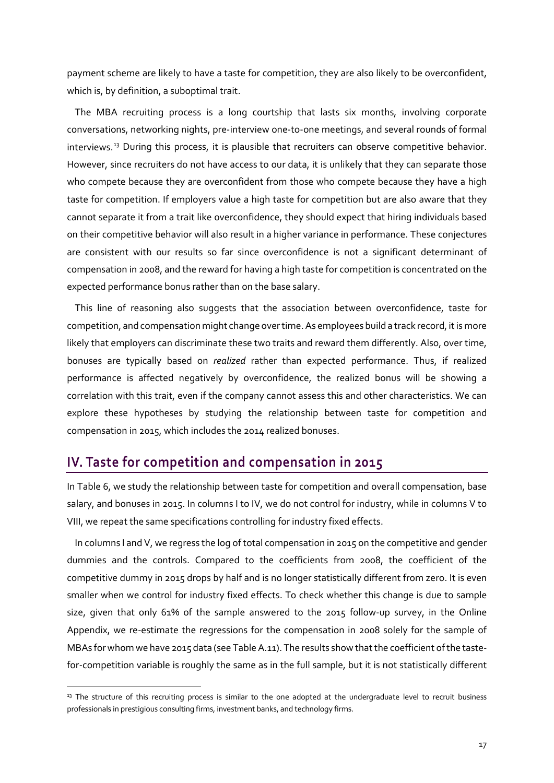payment scheme are likely to have a taste for competition, they are also likely to be overconfident, which is, by definition, a suboptimal trait.

The MBA recruiting process is a long courtship that lasts six months, involving corporate conversations, networking nights, pre-interview one-to-one meetings, and several rounds of formal interviews.[13](#page-17-0) During this process, it is plausible that recruiters can observe competitive behavior. However, since recruiters do not have access to our data, it is unlikely that they can separate those who compete because they are overconfident from those who compete because they have a high taste for competition. If employers value a high taste for competition but are also aware that they cannot separate it from a trait like overconfidence, they should expect that hiring individuals based on their competitive behavior will also result in a higher variance in performance. These conjectures are consistent with our results so far since overconfidence is not a significant determinant of compensation in 2008, and the reward for having a high taste for competition is concentrated on the expected performance bonus rather than on the base salary.

This line of reasoning also suggests that the association between overconfidence, taste for competition, and compensation might change over time. As employees build a track record, it is more likely that employers can discriminate these two traits and reward them differently. Also, over time, bonuses are typically based on *realized* rather than expected performance. Thus, if realized performance is affected negatively by overconfidence, the realized bonus will be showing a correlation with this trait, even if the company cannot assess this and other characteristics. We can explore these hypotheses by studying the relationship between taste for competition and compensation in 2015, which includes the 2014 realized bonuses.

## **IV. Taste for competition and compensation in 2015**

In Table 6, we study the relationship between taste for competition and overall compensation, base salary, and bonuses in 2015. In columns I to IV, we do not control for industry, while in columns V to VIII, we repeat the same specifications controlling for industry fixed effects.

In columns I and V, we regress the log of total compensation in 2015 on the competitive and gender dummies and the controls. Compared to the coefficients from 2008, the coefficient of the competitive dummy in 2015 drops by half and is no longer statistically different from zero. It is even smaller when we control for industry fixed effects. To check whether this change is due to sample size, given that only 61% of the sample answered to the 2015 follow-up survey, in the Online Appendix, we re-estimate the regressions for the compensation in 2008 solely for the sample of MBAs for whom we have 2015 data (see Table A.11). The results show that the coefficient of the tastefor-competition variable is roughly the same as in the full sample, but it is not statistically different

<span id="page-17-0"></span><sup>&</sup>lt;sup>13</sup> The structure of this recruiting process is similar to the one adopted at the undergraduate level to recruit business professionals in prestigious consulting firms, investment banks, and technology firms.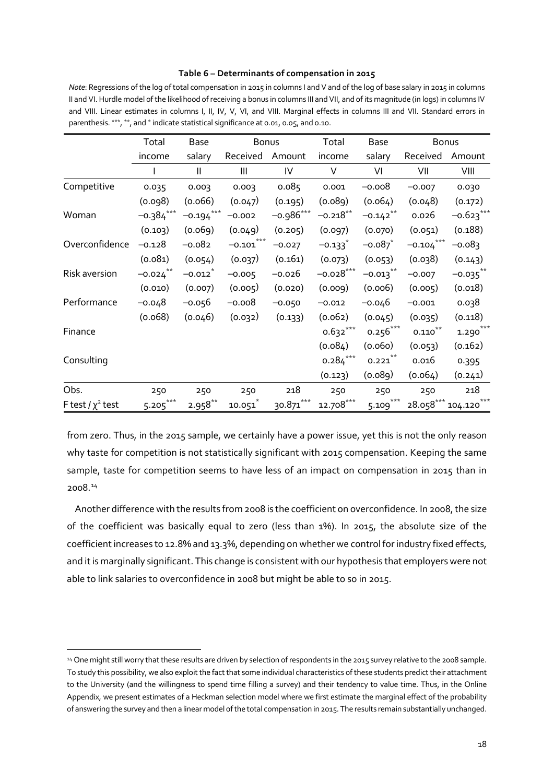#### **Table 6 – Determinants of compensation in 2015**

*Note*: Regressions of the log of total compensation in 2015 in columns I and V and of the log of base salary in 2015 in columns II and VI. Hurdle model of the likelihood of receiving a bonus in columns III and VII, and of its magnitude (in logs) in columns IV and VIII. Linear estimates in columns I, II, IV, V, VI, and VIII. Marginal effects in columns III and VII. Standard errors in parenthesis. \*\*\*, \*\*, and \* indicate statistical significance at 0.01, 0.05, and 0.10.

|                        | Total       | Base                  | Bonus                   |             | Total       | <b>Base</b>           |              | <b>Bonus</b> |
|------------------------|-------------|-----------------------|-------------------------|-------------|-------------|-----------------------|--------------|--------------|
|                        | income      | salary                | Received                | Amount      | income      | salary                | Received     | Amount       |
|                        |             | $\mathsf{II}$         | $\mathbf{III}$          | IV          | V           | VI                    | VII          | VIII         |
| Competitive            | 0.035       | 0.003                 | 0.003                   | 0.085       | 0.001       | $-0.008$              | $-0.007$     | 0.030        |
|                        | (0.098)     | (0.066)               | (0.047)                 | (0.195)     | (0.089)     | (0.064)               | (0.048)      | (0.172)      |
| Woman                  | $-0.384***$ | $-0.194***$           | $-0.002$                | $-0.986***$ | $-0.218***$ | $-0.142$ **           | 0.026        | $-0.623***$  |
|                        | (0.103)     | (0.069)               | (0.049)                 | (0.205)     | (0.097)     | (0.070)               | (0.051)      | (0.188)      |
| Overconfidence         | $-0.128$    | $-0.082$              | $-0.101$ <sup>***</sup> | $-0.027$    | $-0.133$ *  | $-0.087$ *            | $-0.104$ *** | $-0.083$     |
|                        | (0.081)     | (0.054)               | (0.037)                 | (0.161)     | (0.073)     | (0.053)               | (0.038)      | (0.143)      |
| Risk aversion          | $-0.024$ ** | $-0.012$ <sup>*</sup> | $-0.005$                | $-0.026$    | $-0.028***$ | $-0.013$ **           | $-0.007$     | $-0.035***$  |
|                        | (0.010)     | (0.007)               | (0.005)                 | (0.020)     | (0.009)     | (0.006)               | (0.005)      | (0.018)      |
| Performance            | $-0.048$    | $-0.056$              | $-0.008$                | $-0.050$    | $-0.012$    | $-0.046$              | $-0.001$     | 0.038        |
|                        | (0.068)     | (0.046)               | (0.032)                 | (0.133)     | (0.062)     | (0.045)               | (0.035)      | (0.118)      |
| Finance                |             |                       |                         |             | $0.632***$  | $0.256***$            | $0.110***$   | $1.290***$   |
|                        |             |                       |                         |             | (0.084)     | (0.060)               | (0.053)      | (0.162)      |
| Consulting             |             |                       |                         |             | $0.284***$  | $0.221$ **            | 0.016        | 0.395        |
|                        |             |                       |                         |             | (0.123)     | (0.089)               | (0.064)      | (0.241)      |
| Obs.                   | 250         | 250                   | 250                     | 218         | 250         | 250                   | 250          | 218          |
| F test / $\chi^2$ test | $5.205***$  | $2.958**$             | $10.051^{*}$            | $30.871***$ | $12.708***$ | $\frac{5.109}{4.000}$ | 28.058***    | 104.120      |

from zero. Thus, in the 2015 sample, we certainly have a power issue, yet this is not the only reason why taste for competition is not statistically significant with 2015 compensation. Keeping the same sample, taste for competition seems to have less of an impact on compensation in 2015 than in 2008.[14](#page-18-0)

Another difference with the results from 2008 is the coefficient on overconfidence. In 2008, the size of the coefficient was basically equal to zero (less than 1%). In 2015, the absolute size of the coefficient increases to 12.8% and 13.3%, depending on whether we control for industry fixed effects, and it is marginally significant. This change is consistent with our hypothesis that employers were not able to link salaries to overconfidence in 2008 but might be able to so in 2015.

<span id="page-18-0"></span><sup>14</sup> One might still worry that these results are driven by selection of respondents in the 2015 survey relative to the 2008 sample. To study this possibility, we also exploit the fact that some individual characteristics of these students predict their attachment to the University (and the willingness to spend time filling a survey) and their tendency to value time. Thus, in the Online Appendix, we present estimates of a Heckman selection model where we first estimate the marginal effect of the probability of answering the survey and then a linear model of the total compensation in 2015.The results remain substantially unchanged.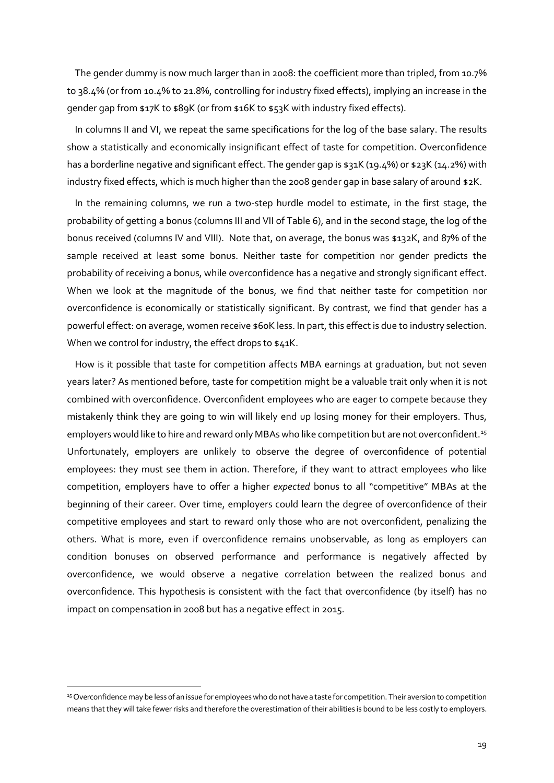The gender dummy is now much larger than in 2008: the coefficient more than tripled, from 10.7% to 38.4% (or from 10.4% to 21.8%, controlling for industry fixed effects), implying an increase in the gender gap from \$17K to \$89K (or from \$16K to \$53K with industry fixed effects).

In columns II and VI, we repeat the same specifications for the log of the base salary. The results show a statistically and economically insignificant effect of taste for competition. Overconfidence has a borderline negative and significant effect. The gender gap is \$31K (19.4%) or \$23K (14.2%) with industry fixed effects, which is much higher than the 2008 gender gap in base salary of around \$2K.

In the remaining columns, we run a two-step hurdle model to estimate, in the first stage, the probability of getting a bonus (columns III and VII of Table 6), and in the second stage, the log of the bonus received (columns IV and VIII). Note that, on average, the bonus was \$132K, and 87% of the sample received at least some bonus. Neither taste for competition nor gender predicts the probability of receiving a bonus, while overconfidence has a negative and strongly significant effect. When we look at the magnitude of the bonus, we find that neither taste for competition nor overconfidence is economically or statistically significant. By contrast, we find that gender has a powerful effect: on average, women receive \$60K less. In part, this effect is due to industry selection. When we control for industry, the effect drops to \$41K.

How is it possible that taste for competition affects MBA earnings at graduation, but not seven years later? As mentioned before, taste for competition might be a valuable trait only when it is not combined with overconfidence. Overconfident employees who are eager to compete because they mistakenly think they are going to win will likely end up losing money for their employers. Thus, employers would like to hire and reward only MBAs who like competition but are not overconfident.<sup>[15](#page-19-0)</sup> Unfortunately, employers are unlikely to observe the degree of overconfidence of potential employees: they must see them in action. Therefore, if they want to attract employees who like competition, employers have to offer a higher *expected* bonus to all "competitive" MBAs at the beginning of their career. Over time, employers could learn the degree of overconfidence of their competitive employees and start to reward only those who are not overconfident, penalizing the others. What is more, even if overconfidence remains unobservable, as long as employers can condition bonuses on observed performance and performance is negatively affected by overconfidence, we would observe a negative correlation between the realized bonus and overconfidence. This hypothesis is consistent with the fact that overconfidence (by itself) has no impact on compensation in 2008 but has a negative effect in 2015.

<span id="page-19-0"></span><sup>15</sup> Overconfidence may be less of an issue for employees who do not have a taste for competition. Their aversion to competition means that they will take fewer risks and therefore the overestimation of their abilities is bound to be less costly to employers.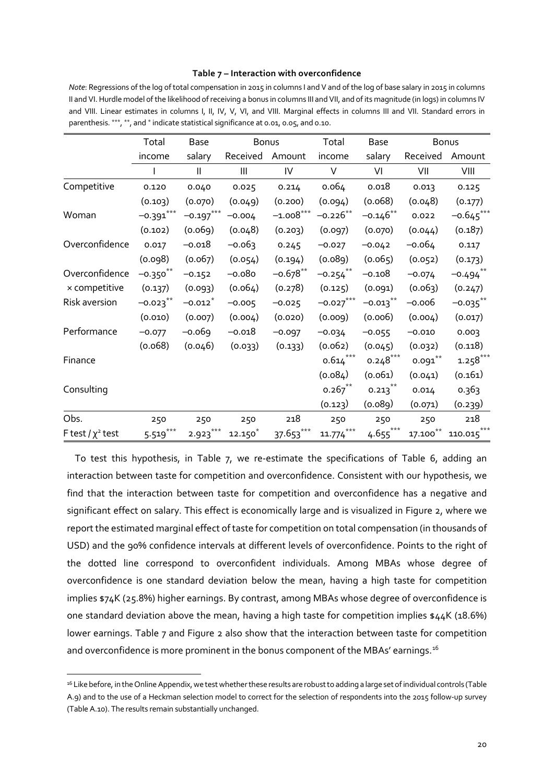#### **Table 7 – Interaction with overconfidence**

*Note*: Regressions of the log of total compensation in 2015 in columns I and V and of the log of base salary in 2015 in columns II and VI. Hurdle model of the likelihood of receiving a bonus in columns III and VII, and of its magnitude (in logs) in columns IV and VIII. Linear estimates in columns I, II, IV, V, VI, and VIII. Marginal effects in columns III and VII. Standard errors in parenthesis. \*\*\*, \*\*, and \* indicate statistical significance at 0.01, 0.05, and 0.10.

|                        | Total                  | <b>Base</b>           | <b>Bonus</b> |             | Total                  | Base                   |            | Bonus       |
|------------------------|------------------------|-----------------------|--------------|-------------|------------------------|------------------------|------------|-------------|
|                        | income                 | salary                | Received     | Amount      | income                 | salary                 | Received   | Amount      |
|                        |                        | $\mathbf{I}$          | Ш            | ${\sf IV}$  | $\vee$                 | VI                     | VII        | VIII        |
| Competitive            | 0.120                  | 0.040                 | 0.025        | 0.214       | 0.064                  | 0.018                  | 0.013      | 0.125       |
|                        | (0.103)                | (0.070)               | (0.049)      | (0.200)     | (0.094)                | (0.068)                | (0.048)    | (0.177)     |
| Woman                  | $-0.391***$            | $-0.197***$           | $-0.004$     | $-1.008***$ | $-0.226**$             | $-0.146**$             | 0.022      | $-0.645***$ |
|                        | (0.102)                | (0.069)               | (0.048)      | (0.203)     | (0.097)                | (0.070)                | (0.044)    | (0.187)     |
| Overconfidence         | 0.017                  | $-0.018$              | $-0.063$     | 0.245       | $-0.027$               | $-0.042$               | $-0.064$   | 0.117       |
|                        | (0.098)                | (0.067)               | (0.054)      | (0.194)     | (0.089)                | (0.065)                | (0.052)    | (0.173)     |
| Overconfidence         | $-0.350$ **            | $-0.152$              | $-0.080$     | $-0.678**$  | $-0.254$ **            | $-0.108$               | $-0.074$   | $-0.494$ ** |
| x competitive          | (0.137)                | (0.093)               | (0.064)      | (0.278)     | (0.125)                | (0.091)                | (0.063)    | (0.247)     |
| Risk aversion          | $-0.023$ <sup>**</sup> | $-0.012$ <sup>*</sup> | $-0.005$     | $-0.025$    | $-0.027***$            | $-0.013$ <sup>**</sup> | $-0.006$   | $-0.035$ ** |
|                        | (0.010)                | (0.007)               | (0.004)      | (0.020)     | (0.009)                | (0.006)                | (0.004)    | (0.017)     |
| Performance            | $-0.077$               | $-0.069$              | $-0.018$     | $-0.097$    | $-0.034$               | $-0.055$               | $-0.010$   | 0.003       |
|                        | (0.068)                | (0.046)               | (0.033)      | (0.133)     | (0.062)                | (0.045)                | (0.032)    | (0.118)     |
| Finance                |                        |                       |              |             | $0.614^{\ast\ast\ast}$ | $0.248***$             | $0.091***$ | $1.258***$  |
|                        |                        |                       |              |             | (0.084)                | (0.061)                | (0.041)    | (0.161)     |
| Consulting             |                        |                       |              |             | $0.267$ **             | $0.213$ <sup>**</sup>  | 0.014      | 0.363       |
|                        |                        |                       |              |             | (0.123)                | (0.089)                | (0.071)    | (0.239)     |
| Obs.                   | 250                    | 250                   | 250          | 218         | 250                    | 250                    | 250        | 218         |
| F test / $\chi^2$ test | $5.519***$             | $2.923***$            | $12.150*$    | $37.653***$ | $***$<br>11.774        | $4.655***$             | $17.100**$ | 110.015     |

To test this hypothesis, in Table 7, we re-estimate the specifications of Table 6, adding an interaction between taste for competition and overconfidence. Consistent with our hypothesis, we find that the interaction between taste for competition and overconfidence has a negative and significant effect on salary. This effect is economically large and is visualized in Figure 2, where we report the estimated marginal effect of taste for competition on total compensation (in thousands of USD) and the 90% confidence intervals at different levels of overconfidence. Points to the right of the dotted line correspond to overconfident individuals. Among MBAs whose degree of overconfidence is one standard deviation below the mean, having a high taste for competition implies \$74K (25.8%) higher earnings. By contrast, among MBAs whose degree of overconfidence is one standard deviation above the mean, having a high taste for competition implies  $\frac{1}{4}44K$  (18.6%) lower earnings. Table 7 and Figure 2 also show that the interaction between taste for competition and overconfidence is more prominent in the bonus component of the MBAs' earnings.<sup>[16](#page-20-0)</sup>

<span id="page-20-0"></span><sup>16</sup> Like before, in the Online Appendix, we test whether these results are robust to adding a large set of individual controls (Table A.9) and to the use of a Heckman selection model to correct for the selection of respondents into the 2015 follow-up survey (Table A.10). The results remain substantially unchanged.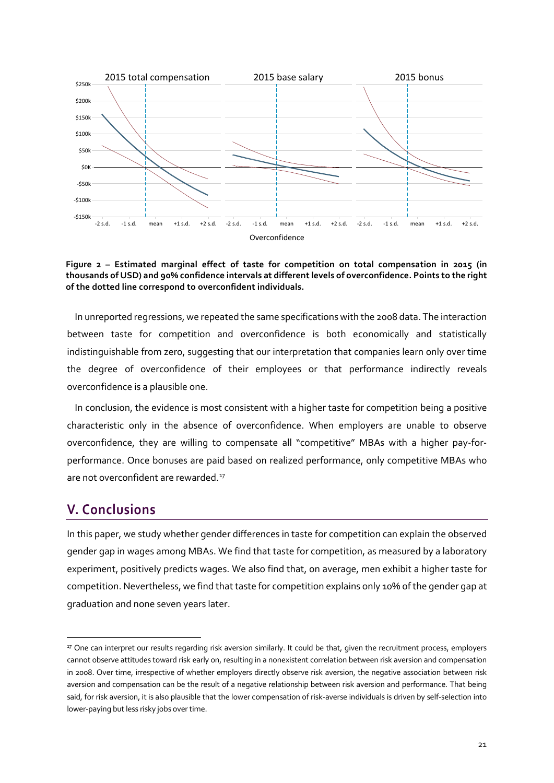

**Figure 2 – Estimated marginal effect of taste for competition on total compensation in 2015 (in thousands of USD) and 90% confidence intervals at different levels of overconfidence. Points to the right of the dotted line correspond to overconfident individuals.**

In unreported regressions, we repeated the same specifications with the 2008 data. The interaction between taste for competition and overconfidence is both economically and statistically indistinguishable from zero, suggesting that our interpretation that companies learn only over time the degree of overconfidence of their employees or that performance indirectly reveals overconfidence is a plausible one.

In conclusion, the evidence is most consistent with a higher taste for competition being a positive characteristic only in the absence of overconfidence. When employers are unable to observe overconfidence, they are willing to compensate all "competitive" MBAs with a higher pay-forperformance. Once bonuses are paid based on realized performance, only competitive MBAs who are not overconfident are rewarded.<sup>[17](#page-21-1)</sup>

## **V. Conclusions**

In this paper, we study whether gender differences in taste for competition can explain the observed gender gap in wages among MBAs. We find that taste for competition, as measured by a laboratory experiment, positively predicts wages. We also find that, on average, men exhibit a higher taste for competition. Nevertheless, we find that taste for competition explains only 10% of the gender gap at graduation and none seven years later.

<span id="page-21-1"></span><span id="page-21-0"></span><sup>&</sup>lt;sup>17</sup> One can interpret our results regarding risk aversion similarly. It could be that, given the recruitment process, employers cannot observe attitudes toward risk early on, resulting in a nonexistent correlation between risk aversion and compensation in 2008. Over time, irrespective of whether employers directly observe risk aversion, the negative association between risk aversion and compensation can be the result of a negative relationship between risk aversion and performance. That being said, for risk aversion, it is also plausible that the lower compensation of risk-averse individuals is driven by self-selection into lower-paying but less risky jobs over time.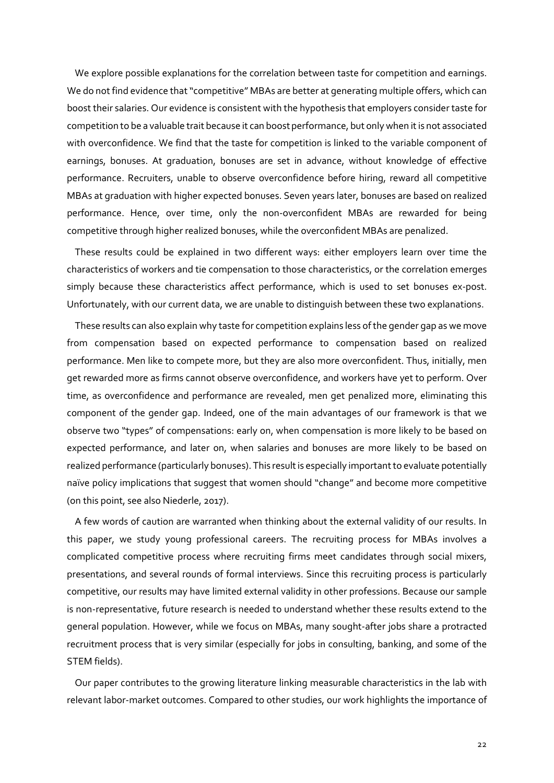We explore possible explanations for the correlation between taste for competition and earnings. We do not find evidence that "competitive" MBAs are better at generating multiple offers, which can boost their salaries. Our evidence is consistent with the hypothesis that employers consider taste for competition to be a valuable trait because it can boost performance, but only when it is not associated with overconfidence. We find that the taste for competition is linked to the variable component of earnings, bonuses. At graduation, bonuses are set in advance, without knowledge of effective performance. Recruiters, unable to observe overconfidence before hiring, reward all competitive MBAs at graduation with higher expected bonuses. Seven years later, bonuses are based on realized performance. Hence, over time, only the non-overconfident MBAs are rewarded for being competitive through higher realized bonuses, while the overconfident MBAs are penalized.

These results could be explained in two different ways: either employers learn over time the characteristics of workers and tie compensation to those characteristics, or the correlation emerges simply because these characteristics affect performance, which is used to set bonuses ex-post. Unfortunately, with our current data, we are unable to distinguish between these two explanations.

These results can also explain why taste for competition explains less of the gender gap as we move from compensation based on expected performance to compensation based on realized performance. Men like to compete more, but they are also more overconfident. Thus, initially, men get rewarded more as firms cannot observe overconfidence, and workers have yet to perform. Over time, as overconfidence and performance are revealed, men get penalized more, eliminating this component of the gender gap. Indeed, one of the main advantages of our framework is that we observe two "types" of compensations: early on, when compensation is more likely to be based on expected performance, and later on, when salaries and bonuses are more likely to be based on realized performance (particularly bonuses). This result is especially important to evaluate potentially naïve policy implications that suggest that women should "change" and become more competitive (on this point, see also Niederle, 2017).

A few words of caution are warranted when thinking about the external validity of our results. In this paper, we study young professional careers. The recruiting process for MBAs involves a complicated competitive process where recruiting firms meet candidates through social mixers, presentations, and several rounds of formal interviews. Since this recruiting process is particularly competitive, our results may have limited external validity in other professions. Because our sample is non-representative, future research is needed to understand whether these results extend to the general population. However, while we focus on MBAs, many sought-after jobs share a protracted recruitment process that is very similar (especially for jobs in consulting, banking, and some of the STEM fields).

Our paper contributes to the growing literature linking measurable characteristics in the lab with relevant labor-market outcomes. Compared to other studies, our work highlights the importance of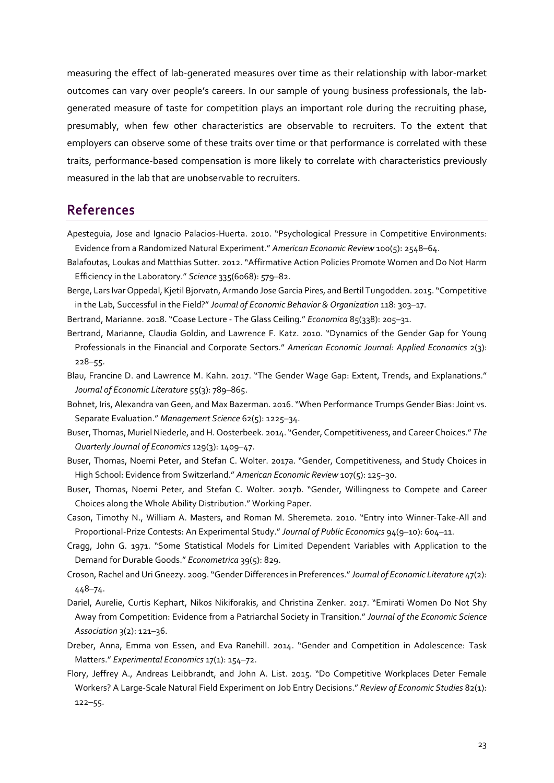measuring the effect of lab-generated measures over time as their relationship with labor-market outcomes can vary over people's careers. In our sample of young business professionals, the labgenerated measure of taste for competition plays an important role during the recruiting phase, presumably, when few other characteristics are observable to recruiters. To the extent that employers can observe some of these traits over time or that performance is correlated with these traits, performance-based compensation is more likely to correlate with characteristics previously measured in the lab that are unobservable to recruiters.

## **References**

- Apesteguia, Jose and Ignacio Palacios-Huerta. 2010. "Psychological Pressure in Competitive Environments: Evidence from a Randomized Natural Experiment." *American Economic Review* 100(5): 2548–64.
- Balafoutas, Loukas and Matthias Sutter. 2012. "Affirmative Action Policies Promote Women and Do Not Harm Efficiency in the Laboratory." *Science* 335(6068): 579–82.
- Berge, Lars Ivar Oppedal, Kjetil Bjorvatn, Armando Jose Garcia Pires, and Bertil Tungodden. 2015. "Competitive in the Lab, Successful in the Field?" *Journal of Economic Behavior & Organization* 118: 303–17.

Bertrand, Marianne. 2018. "Coase Lecture - The Glass Ceiling." *Economica* 85(338): 205-31.

- Bertrand, Marianne, Claudia Goldin, and Lawrence F. Katz. 2010. "Dynamics of the Gender Gap for Young Professionals in the Financial and Corporate Sectors." *American Economic Journal: Applied Economics* 2(3): 228–55.
- Blau, Francine D. and Lawrence M. Kahn. 2017. "The Gender Wage Gap: Extent, Trends, and Explanations." *Journal of Economic Literature* 55(3): 789–865.
- Bohnet, Iris, Alexandra van Geen, and Max Bazerman. 2016. "When Performance Trumps Gender Bias: Joint vs. Separate Evaluation." *Management Science* 62(5): 1225–34.
- Buser, Thomas, Muriel Niederle, and H. Oosterbeek. 2014. "Gender, Competitiveness, and Career Choices." *The Quarterly Journal of Economics* 129(3): 1409–47.
- Buser, Thomas, Noemi Peter, and Stefan C. Wolter. 2017a. "Gender, Competitiveness, and Study Choices in High School: Evidence from Switzerland." *American Economic Review* 107(5): 125–30.
- Buser, Thomas, Noemi Peter, and Stefan C. Wolter. 2017b. "Gender, Willingness to Compete and Career Choices along the Whole Ability Distribution." Working Paper.
- Cason, Timothy N., William A. Masters, and Roman M. Sheremeta. 2010. "Entry into Winner-Take-All and Proportional-Prize Contests: An Experimental Study." *Journal of Public Economics* 94(9–10): 604–11.
- Cragg, John G. 1971. "Some Statistical Models for Limited Dependent Variables with Application to the Demand for Durable Goods." *Econometrica* 39(5): 829.
- Croson, Rachel and Uri Gneezy. 2009. "Gender Differences in Preferences." *Journal of Economic Literature* 47(2): 448–74.
- Dariel, Aurelie, Curtis Kephart, Nikos Nikiforakis, and Christina Zenker. 2017. "Emirati Women Do Not Shy Away from Competition: Evidence from a Patriarchal Society in Transition." *Journal of the Economic Science Association* 3(2): 121–36.
- Dreber, Anna, Emma von Essen, and Eva Ranehill. 2014. "Gender and Competition in Adolescence: Task Matters." *Experimental Economics* 17(1): 154–72.
- Flory, Jeffrey A., Andreas Leibbrandt, and John A. List. 2015. "Do Competitive Workplaces Deter Female Workers? A Large-Scale Natural Field Experiment on Job Entry Decisions." *Review of Economic Studies* 82(1): 122–55.